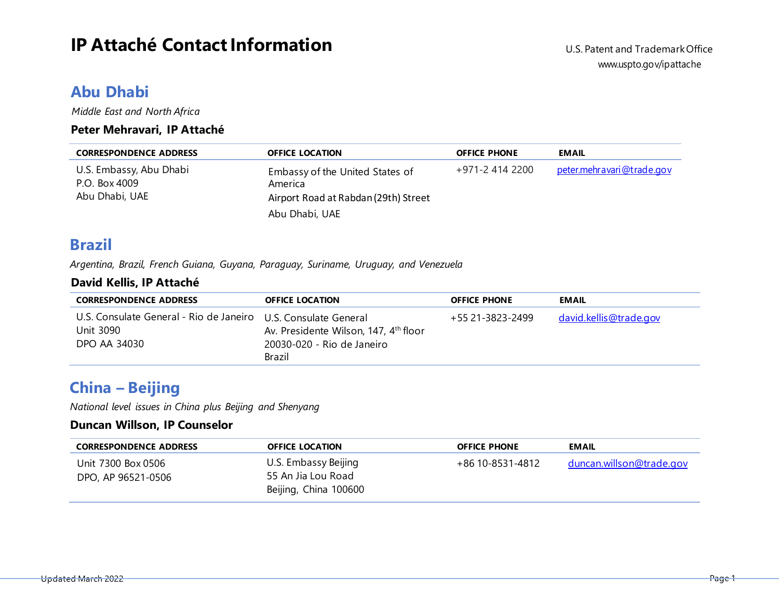# **IP** Attaché Contact Information U.S. Patent and Trademark Office

### **Abu Dhabi**

*Middle East and North Africa*

### **Peter Mehravari, IP Attaché**

| <b>CORRESPONDENCE ADDRESS</b>                              | <b>OFFICE LOCATION</b>                                                             | <b>OFFICE PHONE</b> | <b>EMAIL</b>               |
|------------------------------------------------------------|------------------------------------------------------------------------------------|---------------------|----------------------------|
| U.S. Embassy, Abu Dhabi<br>P.O. Box 4009<br>Abu Dhabi, UAE | Embassy of the United States of<br>America<br>Airport Road at Rabdan (29th) Street | +971-2 414 2200     | peter.mehra vari@trade.gov |
|                                                            | Abu Dhabi, UAE                                                                     |                     |                            |

### **Brazil**

*Argentina, Brazil, French Guiana, Guyana, Paraguay, Suriname, Uruguay, and Venezuela*

### **David Kellis, IP Attaché**

| <b>CORRESPONDENCE ADDRESS</b>                                                               | <b>OFFICE LOCATION</b>                                                                    | <b>OFFICE PHONE</b> | <b>EMAIL</b>                  |
|---------------------------------------------------------------------------------------------|-------------------------------------------------------------------------------------------|---------------------|-------------------------------|
| U.S. Consulate General - Rio de Janeiro U.S. Consulate General<br>Unit 3090<br>DPO AA 34030 | Av. Presidente Wilson, 147, 4 <sup>th</sup> floor<br>20030-020 - Rio de Janeiro<br>Brazil | +55 21-3823-2499    | <u>david.kellis@trade.gov</u> |

## **China – Beijing**

*National level issues in China plus Beijing and Shenyang*

#### **Duncan Willson, IP Counselor**

| <b>CORRESPONDENCE ADDRESS</b>            | <b>OFFICE LOCATION</b>                                              | <b>OFFICE PHONE</b> | <b>EMAIL</b>             |
|------------------------------------------|---------------------------------------------------------------------|---------------------|--------------------------|
| Unit 7300 Box 0506<br>DPO, AP 96521-0506 | U.S. Embassy Beijing<br>55 An Jia Lou Road<br>Beijing, China 100600 | +86 10-8531-4812    | duncan.willson@trade.gov |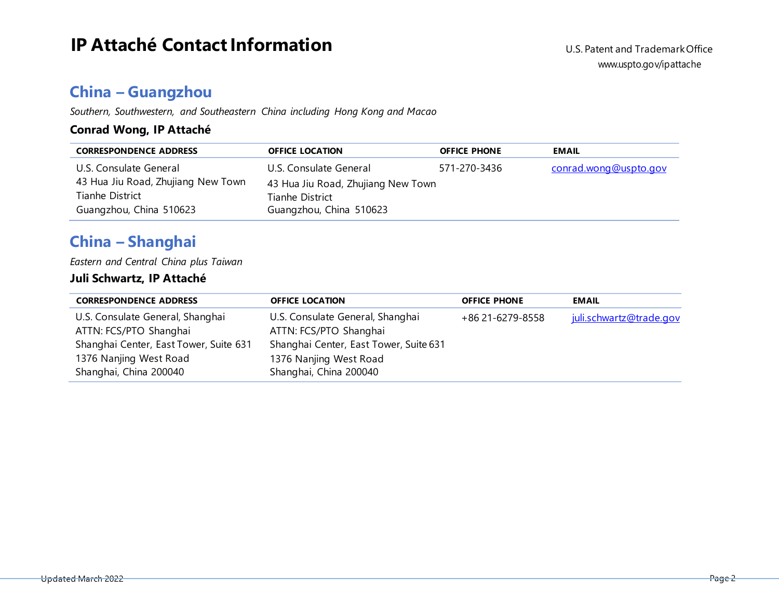## **China – Guangzhou**

*Southern, Southwestern, and Southeastern China including Hong Kong and Macao*

### **Conrad Wong, IP Attaché**

| <b>CORRESPONDENCE ADDRESS</b>      | <b>OFFICE LOCATION</b>             | <b>OFFICE PHONE</b> | <b>EMAIL</b>          |
|------------------------------------|------------------------------------|---------------------|-----------------------|
| U.S. Consulate General             | U.S. Consulate General             | 571-270-3436        | conrad.wong@uspto.gov |
| 43 Hua Jiu Road, Zhujiang New Town | 43 Hua Jiu Road, Zhujiang New Town |                     |                       |
| Tianhe District                    | Tianhe District                    |                     |                       |
| Guangzhou, China 510623            | Guangzhou, China 510623            |                     |                       |

# **China – Shanghai**

*Eastern and Central China plus Taiwan*

### **Juli Schwartz, IP Attaché**

| <b>CORRESPONDENCE ADDRESS</b>          | <b>OFFICE LOCATION</b>                 | <b>OFFICE PHONE</b> | <b>EMAIL</b>            |
|----------------------------------------|----------------------------------------|---------------------|-------------------------|
| U.S. Consulate General, Shanghai       | U.S. Consulate General, Shanghai       | +86 21-6279-8558    | juli.schwartz@trade.gov |
| ATTN: FCS/PTO Shanghai                 | ATTN: FCS/PTO Shanghai                 |                     |                         |
| Shanghai Center, East Tower, Suite 631 | Shanghai Center, East Tower, Suite 631 |                     |                         |
| 1376 Nanjing West Road                 | 1376 Nanjing West Road                 |                     |                         |
| Shanghai, China 200040                 | Shanghai, China 200040                 |                     |                         |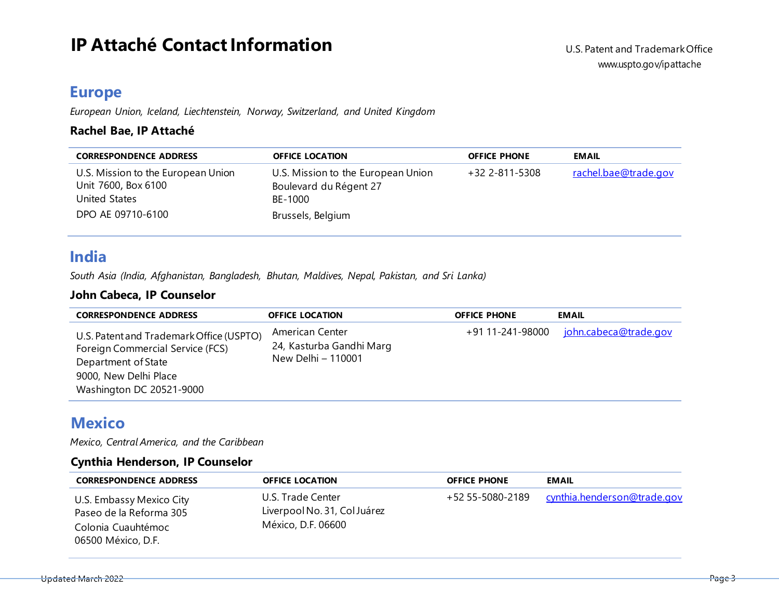# **IP** Attaché Contact Information U.S. Patent and Trademark Office

### **Europe**

*European Union, Iceland, Liechtenstein, Norway, Switzerland, and United Kingdom*

### **Rachel Bae, IP Attaché**

| <b>CORRESPONDENCE ADDRESS</b>                                              | <b>OFFICE LOCATION</b>                                                  | <b>OFFICE PHONE</b> | <b>EMAIL</b>         |
|----------------------------------------------------------------------------|-------------------------------------------------------------------------|---------------------|----------------------|
| U.S. Mission to the European Union<br>Unit 7600, Box 6100<br>United States | U.S. Mission to the European Union<br>Boulevard du Régent 27<br>BE-1000 | +32 2-811-5308      | rachel.bae@trade.gov |
| DPO AE 09710-6100                                                          | Brussels, Belgium                                                       |                     |                      |

### **India**

*South Asia (India, Afghanistan, Bangladesh, Bhutan, Maldives, Nepal, Pakistan, and Sri Lanka)*

### **John Cabeca, IP Counselor**

| <b>CORRESPONDENCE ADDRESS</b>                                                                                                                            | <b>OFFICE LOCATION</b>                                            | <b>OFFICE PHONE</b> | <b>EMAIL</b>                 |
|----------------------------------------------------------------------------------------------------------------------------------------------------------|-------------------------------------------------------------------|---------------------|------------------------------|
| U.S. Patent and Trademark Office (USPTO)<br>Foreign Commercial Service (FCS)<br>Department of State<br>9000, New Delhi Place<br>Washington DC 20521-9000 | American Center<br>24, Kasturba Gandhi Marg<br>New Delhi - 110001 | +91 11-241-98000    | <u>john.cabeca@trade.gov</u> |

### **Mexico**

*Mexico, Central America, and the Caribbean*

#### **Cynthia Henderson, IP Counselor**

| <b>CORRESPONDENCE ADDRESS</b>                                                                   | <b>OFFICE LOCATION</b>                                                  | <b>OFFICE PHONE</b> | <b>EMAIL</b>                                 |
|-------------------------------------------------------------------------------------------------|-------------------------------------------------------------------------|---------------------|----------------------------------------------|
| U.S. Embassy Mexico City<br>Paseo de la Reforma 305<br>Colonia Cuauhtémoc<br>06500 México, D.F. | U.S. Trade Center<br>Liverpool No. 31, Col Juárez<br>México, D.F. 06600 |                     | +52 55-5080-2189 cynthia.henderson@trade.gov |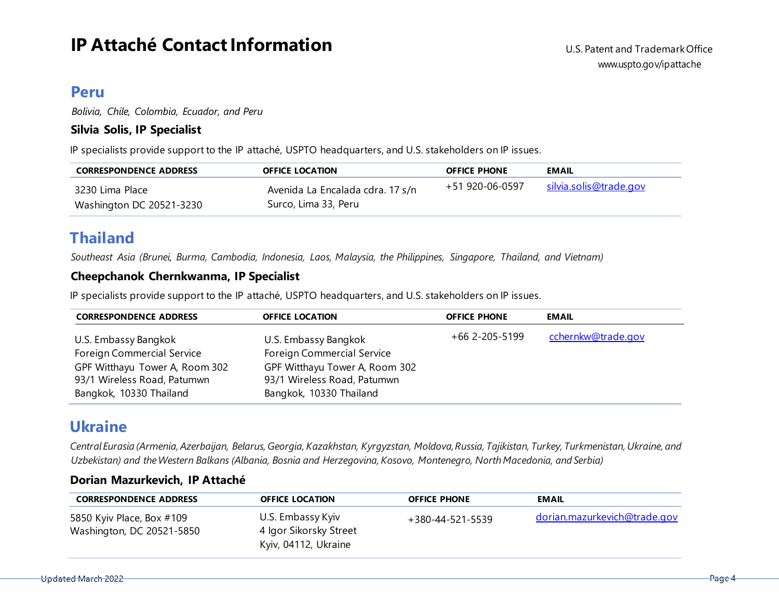# **IP** Attaché Contact Information

### **Peru**

*Bolivia, Chile, Colombia, Ecuador, and Peru*

#### **Silvia Solis, IP Specialist**

IP specialists provide support to the IP attaché, USPTO headquarters, and U.S. stakeholders on IP issues.

| <b>CORRESPONDENCE ADDRESS</b>               | <b>OFFICE LOCATION</b>                                   | <b>OFFICE PHONE</b> | <b>EMAIL</b>                  |
|---------------------------------------------|----------------------------------------------------------|---------------------|-------------------------------|
| 3230 Lima Place<br>Washington DC 20521-3230 | Avenida La Encalada cdra. 17 s/n<br>Surco, Lima 33, Peru | +51 920-06-0597     | <u>silvia.solis@trade.gov</u> |

## **Thailand**

*Southeast Asia (Brunei, Burma, Cambodia, Indonesia, Laos, Malaysia, the Philippines, Singapore, Thailand, and Vietnam)*

### **Cheepchanok Chernkwanma, IP Specialist**

IP specialists provide support to the IP attaché, USPTO headquarters, and U.S. stakeholders on IP issues.

| <b>CORRESPONDENCE ADDRESS</b>                                                                                                                         | <b>OFFICE LOCATION</b>                                                                                                                                | <b>OFFICE PHONE</b> | <b>EMAIL</b>       |
|-------------------------------------------------------------------------------------------------------------------------------------------------------|-------------------------------------------------------------------------------------------------------------------------------------------------------|---------------------|--------------------|
| U.S. Embassy Bangkok<br><b>Foreign Commercial Service</b><br>GPF Witthayu Tower A, Room 302<br>93/1 Wireless Road, Patumwn<br>Bangkok, 10330 Thailand | U.S. Embassy Bangkok<br><b>Foreign Commercial Service</b><br>GPF Witthayu Tower A, Room 302<br>93/1 Wireless Road, Patumwn<br>Bangkok, 10330 Thailand | +66 2-205-5199      | cchernkw@trade.gov |

### **Ukraine**

Central Eurasia (Armenia, Azerbaijan, Belarus, Georgia, Kazakhstan, Kyrgyzstan, Moldova, Russia, Tajikistan, Turkey, Turkmenistan, Ukraine, and *Uzbekistan) and theWestern Balkans (Albania, Bosnia and Herzegovina, Kosovo, Montenegro, NorthMacedonia, and Serbia)*

### **Dorian Mazurkevich, IP Attaché**

| <b>CORRESPONDENCE ADDRESS</b>                          | <b>OFFICE LOCATION</b>                                              | <b>OFFICE PHONE</b>      | <b>EMAIL</b>                        |
|--------------------------------------------------------|---------------------------------------------------------------------|--------------------------|-------------------------------------|
| 5850 Kyiv Place, Box #109<br>Washington, DC 20521-5850 | U.S. Embassy Kyiv<br>4 Igor Sikorsky Street<br>Kyiv, 04112, Ukraine | $+380 - 44 - 521 - 5539$ | <u>dorian.mazurkevich@trade.gov</u> |